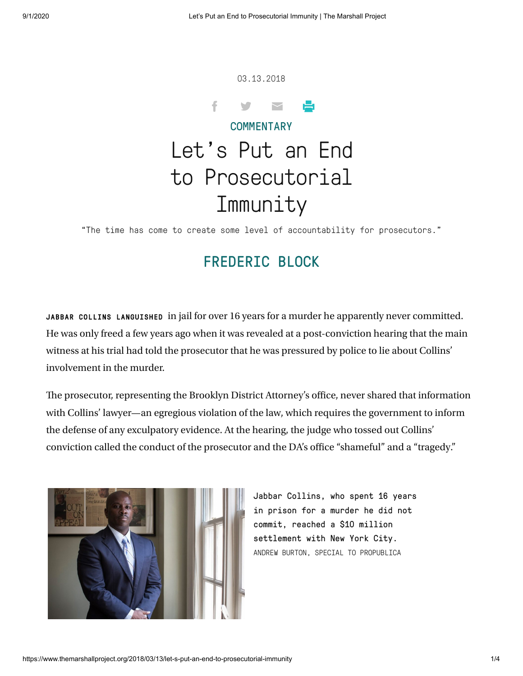



## **[COMMENTARY](https://www.themarshallproject.org/tag/commentary)** Let's Put an End to Prosecutorial Immunity

"The time has come to create some level of accountability for prosecutors."

## FREDERIC BLOCK

JABBAR COLLINS LANGUISHED in jail for over 16 years for a murder he apparently never committed. He was only freed a few years ago when it was revealed at a post-conviction hearing that the main witness at his trial had told the prosecutor that he was pressured by police to lie about Collins' involvement in the murder.

The prosecutor, representing the Brooklyn District Attorney's office, never shared that information with Collins' lawyer—an egregious violation of the law, which requires the government to inform the defense of any exculpatory evidence. At the hearing, the judge who tossed out Collins' conviction called the conduct of the prosecutor and the DA's office "shameful" and a "tragedy."



Jabbar Collins, who spent 16 years in prison for a murder he did not commit, reached a \$10 million settlement with New York City. ANDREW BURTON, SPECIAL TO PROPUBLICA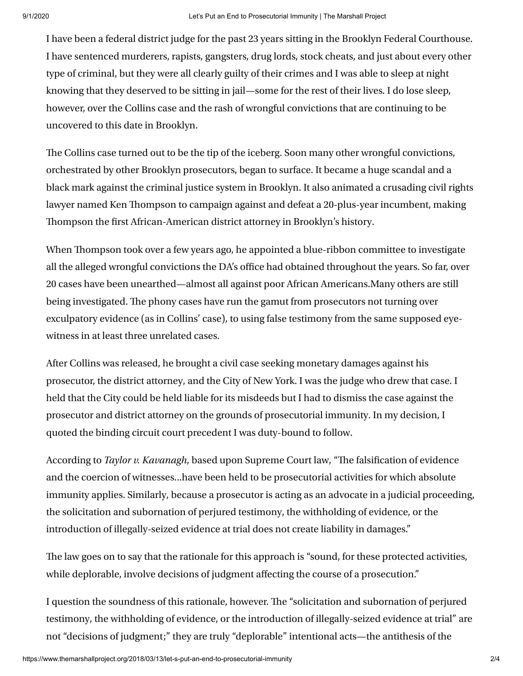I have been a federal district judge for the past 23 years sitting in the Brooklyn Federal Courthouse. I have sentenced murderers, rapists, gangsters, drug lords, stock cheats, and just about every other type of criminal, but they were all clearly guilty of their crimes and I was able to sleep at night knowing that they deserved to be sitting in jail—some for the rest of their lives. I do lose sleep, however, over the Collins case and the rash of wrongful convictions that are continuing to be uncovered to this date in Brooklyn.

The Collins case turned out to be the tip of the iceberg. Soon many other wrongful convictions, orchestrated by other Brooklyn prosecutors, began to surface. It became a huge scandal and a black mark against the criminal justice system in Brooklyn. It also animated a crusading civil rights lawyer named Ken Thompson to campaign against and defeat a 20-plus-year incumbent, making Thompson the first African-American district attorney in Brooklyn's history.

When Thompson took over a few years ago, he appointed a blue-ribbon committee to investigate all the alleged wrongful convictions the DA's office had obtained throughout the years. So far, over 20 cases have been unearthed—almost all against poor African Americans.Many others are still being investigated. The phony cases have run the gamut from prosecutors not turning over exculpatory evidence (as in Collins' case), to using false testimony from the same supposed eyewitness in at least three unrelated cases.

After Collins was released, he brought a civil case seeking monetary damages against his prosecutor, the district attorney, and the City of New York. I was the judge who drew that case. I held that the City could be held liable for its misdeeds but I had to dismiss the case against the prosecutor and district attorney on the grounds of prosecutorial immunity. In my decision, I quoted the binding circuit court precedent I was duty-bound to follow.

According to *Taylor v. Kavanagh*, based upon Supreme Court law, "The falsification of evidence and the coercion of witnesses...have been held to be prosecutorial activities for which absolute immunity applies. Similarly, because a prosecutor is acting as an advocate in a judicial proceeding, the solicitation and subornation of perjured testimony, the withholding of evidence, or the introduction of illegally-seized evidence at trial does not create liability in damages."

The law goes on to say that the rationale for this approach is "sound, for these protected activities, while deplorable, involve decisions of judgment affecting the course of a prosecution."

I question the soundness of this rationale, however. The "solicitation and subornation of perjured testimony, the withholding of evidence, or the introduction of illegally-seized evidence at trial" are not "decisions of judgment;" they are truly "deplorable" intentional acts—the antithesis of the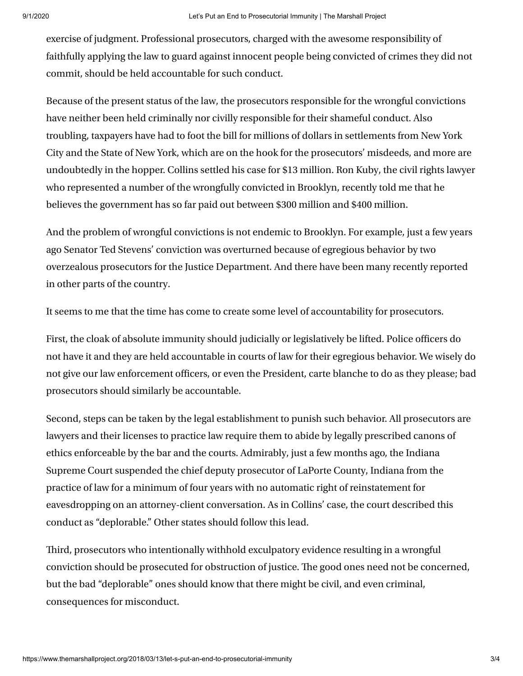exercise of judgment. Professional prosecutors, charged with the awesome responsibility of faithfully applying the law to guard against innocent people being convicted of crimes they did not commit, should be held accountable for such conduct.

Because of the present status of the law, the prosecutors responsible for the wrongful convictions have neither been held criminally nor civilly responsible for their shameful conduct. Also troubling, taxpayers have had to foot the bill for millions of dollars in settlements from New York City and the State of New York, which are on the hook for the prosecutors' misdeeds, and more are undoubtedly in the hopper. Collins settled his case for \$13 million. Ron Kuby, the civil rights lawyer who represented a number of the wrongfully convicted in Brooklyn, recently told me that he believes the government has so far paid out between \$300 million and \$400 million.

And the problem of wrongful convictions is not endemic to Brooklyn. For example, just a few years ago Senator Ted Stevens' conviction was overturned because of egregious behavior by two overzealous prosecutors for the Justice Department. And there have been many recently reported in other parts of the country.

It seems to me that the time has come to create some level of accountability for prosecutors.

First, the cloak of absolute immunity should judicially or legislatively be lifted. Police officers do not have it and they are held accountable in courts of law for their egregious behavior. We wisely do not give our law enforcement officers, or even the President, carte blanche to do as they please; bad prosecutors should similarly be accountable.

Second, steps can be taken by the legal establishment to punish such behavior. All prosecutors are lawyers and their licenses to practice law require them to abide by legally prescribed canons of ethics enforceable by the bar and the courts. Admirably, just a few months ago, the Indiana Supreme Court suspended the chief deputy prosecutor of LaPorte County, Indiana from the practice of law for a minimum of four years with no automatic right of reinstatement for eavesdropping on an attorney-client conversation. As in Collins' case, the court described this conduct as "deplorable." Other states should follow this lead.

Third, prosecutors who intentionally withhold exculpatory evidence resulting in a wrongful conviction should be prosecuted for obstruction of justice. The good ones need not be concerned, but the bad "deplorable" ones should know that there might be civil, and even criminal, consequences for misconduct.